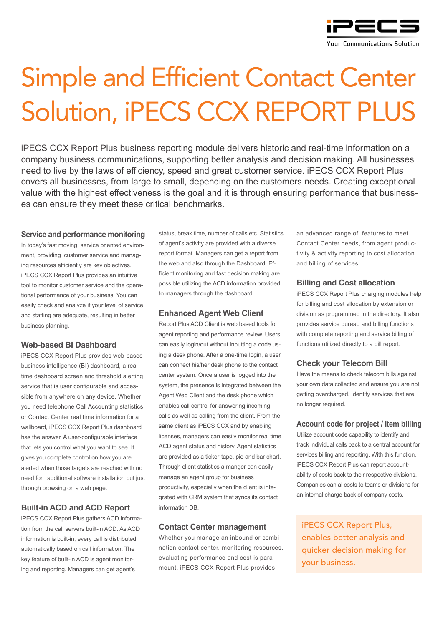

# Simple and Efficient Contact Center Solution, iPECS CCX REPORT PLUS

iPECS CCX Report Plus business reporting module delivers historic and real-time information on a company business communications, supporting better analysis and decision making. All businesses need to live by the laws of efficiency, speed and great customer service. iPECS CCX Report Plus covers all businesses, from large to small, depending on the customers needs. Creating exceptional value with the highest effectiveness is the goal and it is through ensuring performance that businesses can ensure they meet these critical benchmarks.

#### **Service and performance monitoring**

In today's fast moving, service oriented environment, providing customer service and managing resources efficiently are key objectives. iPECS CCX Report Plus provides an intuitive tool to monitor customer service and the operational performance of your business. You can easily check and analyze if your level of service and staffing are adequate, resulting in better business planning.

# **Web-based BI Dashboard**

iPECS CCX Report Plus provides web-based business intelligence (BI) dashboard, a real time dashboard screen and threshold alerting service that is user configurable and accessible from anywhere on any device. Whether you need telephone Call Accounting statistics, or Contact Center real time information for a wallboard, iPECS CCX Report Plus dashboard has the answer. A user-configurable interface that lets you control what you want to see. It gives you complete control on how you are alerted when those targets are reached with no need for additional software installation but just through browsing on a web page.

# **Built-in ACD and ACD Report**

iPECS CCX Report Plus gathers ACD information from the call servers built-in ACD. As ACD information is built-in, every call is distributed automatically based on call information. The key feature of built-in ACD is agent monitoring and reporting. Managers can get agent's

status, break time, number of calls etc. Statistics of agent's activity are provided with a diverse report format. Managers can get a report from the web and also through the Dashboard. Efficient monitoring and fast decision making are possible utilizing the ACD information provided to managers through the dashboard.

## **Enhanced Agent Web Client**

Report Plus ACD Client is web based tools for agent reporting and performance review. Users can easily login/out without inputting a code using a desk phone. After a one-time login, a user can connect his/her desk phone to the contact center system. Once a user is logged into the system, the presence is integrated between the Agent Web Client and the desk phone which enables call control for answering incoming calls as well as calling from the client. From the same client as iPECS CCX and by enabling licenses, managers can easily monitor real time ACD agent status and history. Agent statistics are provided as a ticker-tape, pie and bar chart. Through client statistics a manger can easily manage an agent group for business productivity, especially when the client is integrated with CRM system that syncs its contact information DB.

### **Contact Center management**

Whether you manage an inbound or combination contact center, monitoring resources, evaluating performance and cost is paramount. iPECS CCX Report Plus provides

an advanced range of features to meet Contact Center needs, from agent productivity & activity reporting to cost allocation and billing of services.

### **Billing and Cost allocation**

iPECS CCX Report Plus charging modules help for billing and cost allocation by extension or division as programmed in the directory. It also provides service bureau and billing functions with complete reporting and service billing of functions utilized directly to a bill report.

### **Check your Telecom Bill**

Have the means to check telecom bills against your own data collected and ensure you are not getting overcharged. Identify services that are no longer required.

### **Account code for project / item billing**

Utilize account code capability to identify and track individual calls back to a central account for services billing and reporting. With this function, iPECS CCX Report Plus can report accountability of costs back to their respective divisions. Companies can al costs to teams or divisions for an internal charge-back of company costs.

iPECS CCX Report Plus, enables better analysis and quicker decision making for your business.